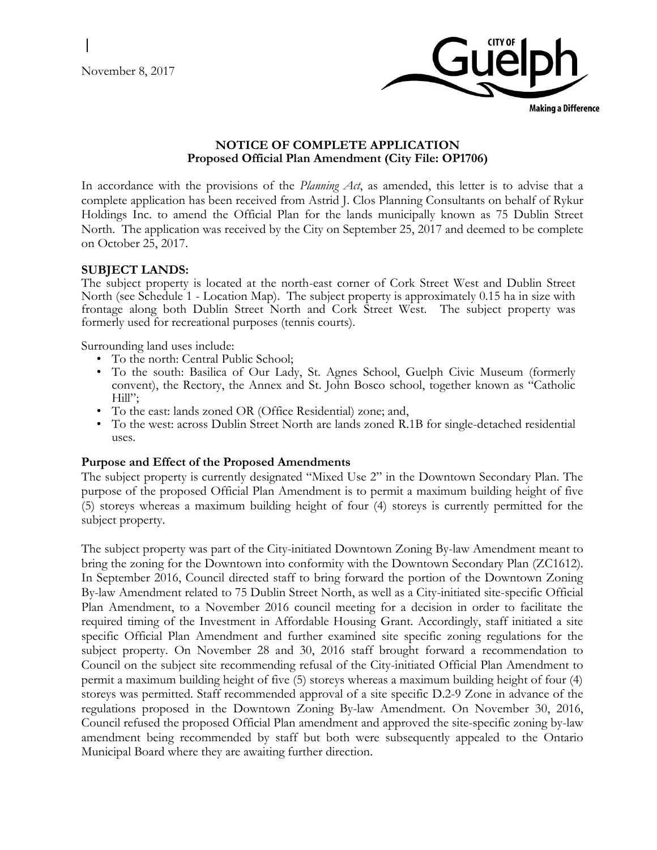November 8, 2017



**Making a Difference** 

# **NOTICE OF COMPLETE APPLICATION Proposed Official Plan Amendment (City File: OP1706)**

In accordance with the provisions of the *Planning Act*, as amended, this letter is to advise that a complete application has been received from Astrid J. Clos Planning Consultants on behalf of Rykur Holdings Inc. to amend the Official Plan for the lands municipally known as 75 Dublin Street North. The application was received by the City on September 25, 2017 and deemed to be complete on October 25, 2017.

# **SUBJECT LANDS:**

The subject property is located at the north-east corner of Cork Street West and Dublin Street North (see Schedule 1 - Location Map). The subject property is approximately 0.15 ha in size with frontage along both Dublin Street North and Cork Street West. The subject property was formerly used for recreational purposes (tennis courts).

Surrounding land uses include:

- To the north: Central Public School;
- To the south: Basilica of Our Lady, St. Agnes School, Guelph Civic Museum (formerly convent), the Rectory, the Annex and St. John Bosco school, together known as "Catholic Hill";
- To the east: lands zoned OR (Office Residential) zone; and,
- To the west: across Dublin Street North are lands zoned R.1B for single-detached residential uses.

# **Purpose and Effect of the Proposed Amendments**

The subject property is currently designated "Mixed Use 2" in the Downtown Secondary Plan. The purpose of the proposed Official Plan Amendment is to permit a maximum building height of five (5) storeys whereas a maximum building height of four (4) storeys is currently permitted for the subject property.

The subject property was part of the City-initiated Downtown Zoning By-law Amendment meant to bring the zoning for the Downtown into conformity with the Downtown Secondary Plan (ZC1612). In September 2016, Council directed staff to bring forward the portion of the Downtown Zoning By-law Amendment related to 75 Dublin Street North, as well as a City-initiated site-specific Official Plan Amendment, to a November 2016 council meeting for a decision in order to facilitate the required timing of the Investment in Affordable Housing Grant. Accordingly, staff initiated a site specific Official Plan Amendment and further examined site specific zoning regulations for the subject property. On November 28 and 30, 2016 staff brought forward a recommendation to Council on the subject site recommending refusal of the City-initiated Official Plan Amendment to permit a maximum building height of five (5) storeys whereas a maximum building height of four (4) storeys was permitted. Staff recommended approval of a site specific D.2-9 Zone in advance of the regulations proposed in the Downtown Zoning By-law Amendment. On November 30, 2016, Council refused the proposed Official Plan amendment and approved the site-specific zoning by-law amendment being recommended by staff but both were subsequently appealed to the Ontario Municipal Board where they are awaiting further direction.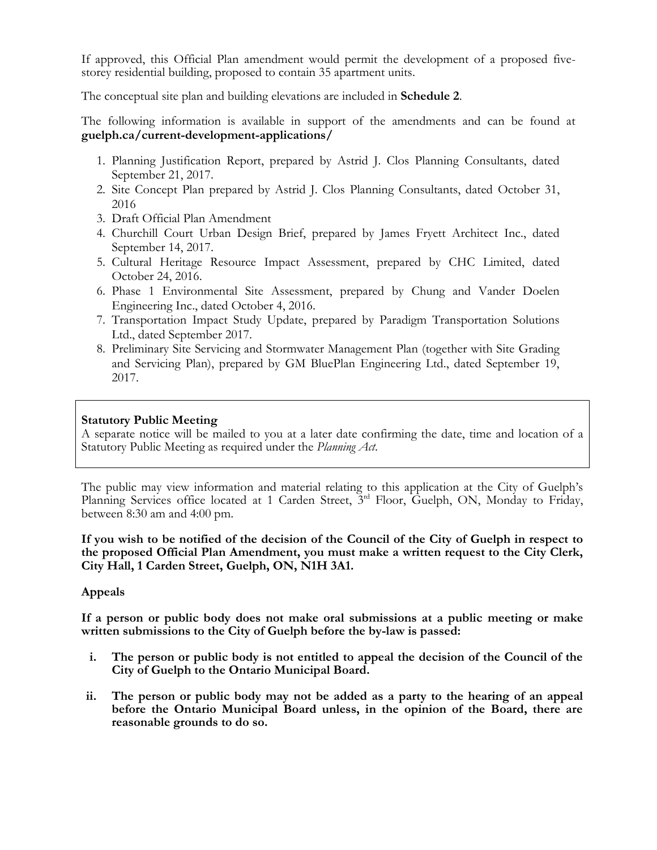If approved, this Official Plan amendment would permit the development of a proposed fivestorey residential building, proposed to contain 35 apartment units.

The conceptual site plan and building elevations are included in **Schedule 2**.

The following information is available in support of the amendments and can be found at **guelph.ca/current-development-applications/**

- 1. Planning Justification Report, prepared by Astrid J. Clos Planning Consultants, dated September 21, 2017.
- 2. Site Concept Plan prepared by Astrid J. Clos Planning Consultants, dated October 31, 2016
- 3. Draft Official Plan Amendment
- 4. Churchill Court Urban Design Brief, prepared by James Fryett Architect Inc., dated September 14, 2017.
- 5. Cultural Heritage Resource Impact Assessment, prepared by CHC Limited, dated October 24, 2016.
- 6. Phase 1 Environmental Site Assessment, prepared by Chung and Vander Doelen Engineering Inc., dated October 4, 2016.
- 7. Transportation Impact Study Update, prepared by Paradigm Transportation Solutions Ltd., dated September 2017.
- 8. Preliminary Site Servicing and Stormwater Management Plan (together with Site Grading and Servicing Plan), prepared by GM BluePlan Engineering Ltd., dated September 19, 2017.

# **Statutory Public Meeting**

A separate notice will be mailed to you at a later date confirming the date, time and location of a Statutory Public Meeting as required under the *Planning Act*.

The public may view information and material relating to this application at the City of Guelph's Planning Services office located at 1 Carden Street, 3<sup>rd</sup> Floor, Guelph, ON, Monday to Friday, between 8:30 am and 4:00 pm.

**If you wish to be notified of the decision of the Council of the City of Guelph in respect to the proposed Official Plan Amendment, you must make a written request to the City Clerk, City Hall, 1 Carden Street, Guelph, ON, N1H 3A1.**

# **Appeals**

**If a person or public body does not make oral submissions at a public meeting or make written submissions to the City of Guelph before the by-law is passed:** 

- **i. The person or public body is not entitled to appeal the decision of the Council of the City of Guelph to the Ontario Municipal Board.**
- **ii. The person or public body may not be added as a party to the hearing of an appeal before the Ontario Municipal Board unless, in the opinion of the Board, there are reasonable grounds to do so.**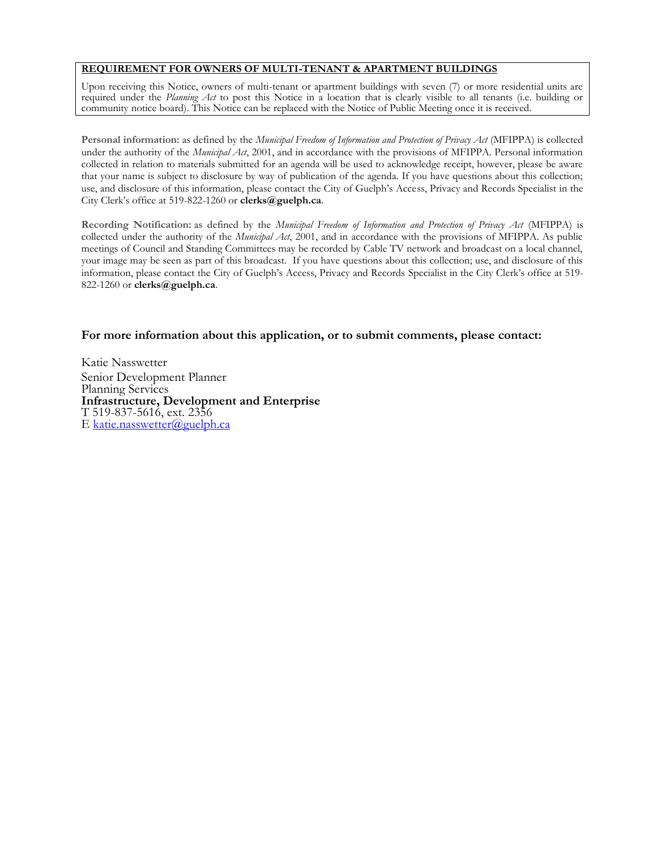### **REQUIREMENT FOR OWNERS OF MULTI-TENANT & APARTMENT BUILDINGS**

Upon receiving this Notice, owners of multi-tenant or apartment buildings with seven (7) or more residential units are required under the *Planning Act* to post this Notice in a location that is clearly visible to all tenants (i.e. building or community notice board). This Notice can be replaced with the Notice of Public Meeting once it is received.

**Personal information:** as defined by the *Municipal Freedom of Information and Protection of Privacy Act* (MFIPPA) is collected under the authority of the *Municipal Act*, 2001, and in accordance with the provisions of MFIPPA. Personal information collected in relation to materials submitted for an agenda will be used to acknowledge receipt, however, please be aware that your name is subject to disclosure by way of publication of the agenda. If you have questions about this collection; use, and disclosure of this information, please contact the City of Guelph's Access, Privacy and Records Specialist in the City Clerk's office at 519-822-1260 or **clerks@guelph.ca**.

**Recording Notification:** as defined by the *Municipal Freedom of Information and Protection of Privacy Act* (MFIPPA) is collected under the authority of the *Municipal Act*, 2001, and in accordance with the provisions of MFIPPA. As public meetings of Council and Standing Committees may be recorded by Cable TV network and broadcast on a local channel, your image may be seen as part of this broadcast. If you have questions about this collection; use, and disclosure of this information, please contact the City of Guelph's Access, Privacy and Records Specialist in the City Clerk's office at 519- 822-1260 or **clerks@guelph.ca**.

### **For more information about this application, or to submit comments, please contact:**

Katie Nasswetter Senior Development Planner Planning Services **Infrastructure, Development and Enterprise** T 519-837-5616, ext. 2356 E [katie.nasswetter@guelph.ca](mailto:katie.nasswetter@guelph.ca)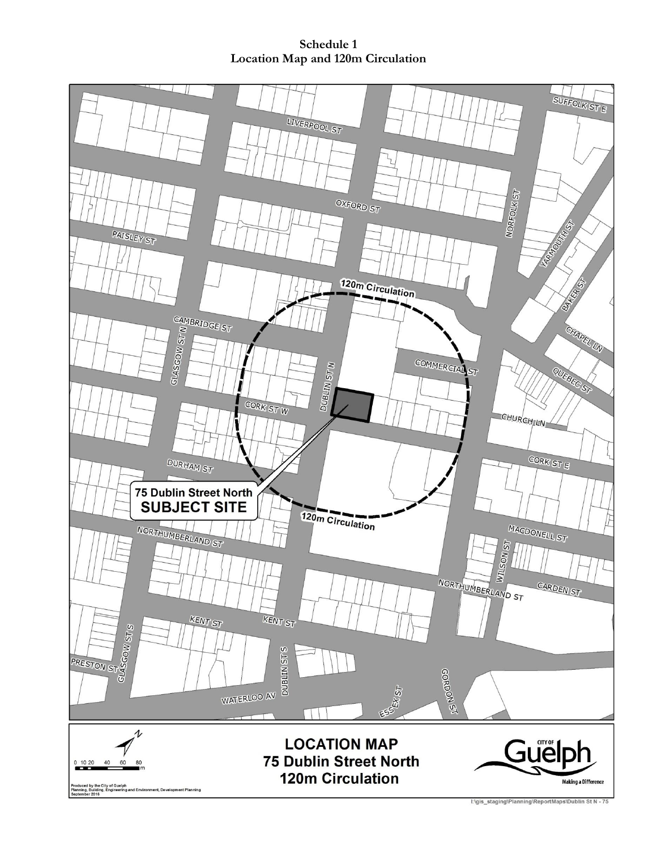**Schedule 1 Location Map and 120m Circulation**

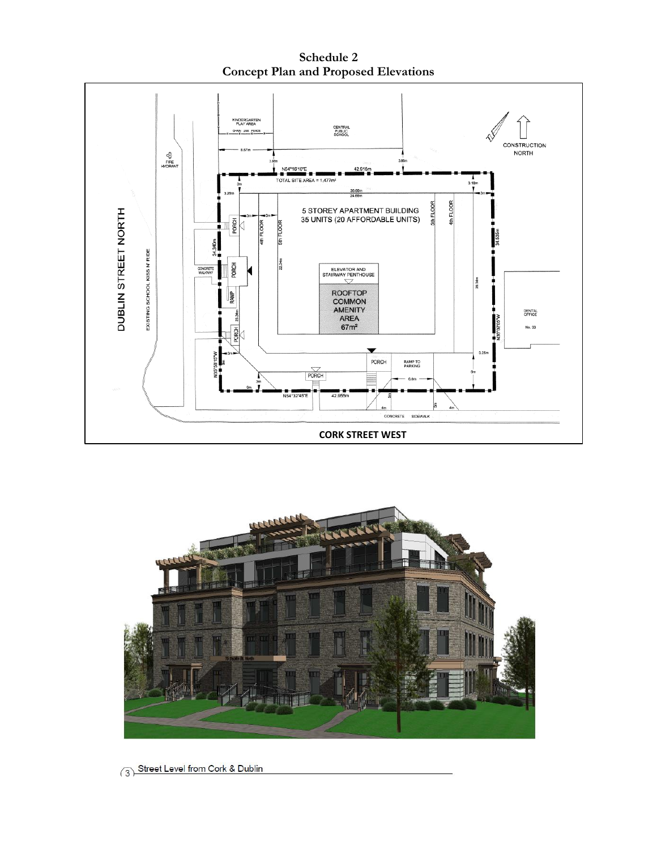**Schedule 2 Concept Plan and Proposed Elevations**